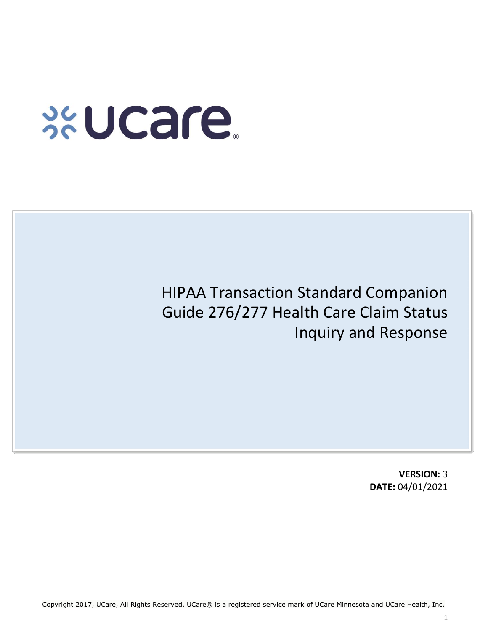# **xucare**

# HIPAA Transaction Standard Companion Guide 276/277 Health Care Claim Status Inquiry and Response

**VERSION:** 3 **DATE:** 04/01/2021

Copyright 2017, UCare, All Rights Reserved. UCare® is a registered service mark of UCare Minnesota and UCare Health, Inc.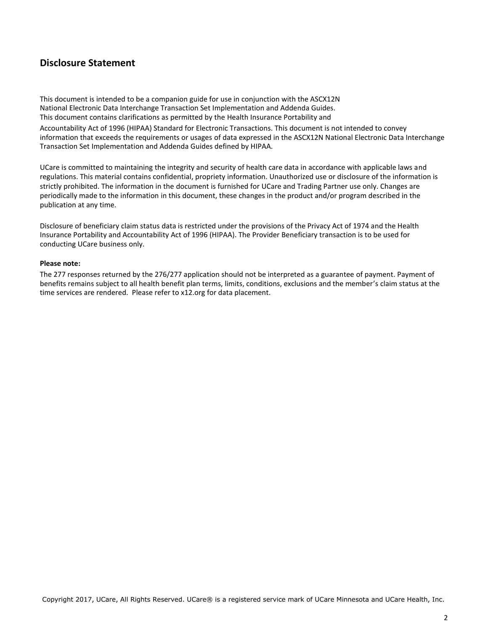### **Disclosure Statement**

This document is intended to be a companion guide for use in conjunction with the ASCX12N National Electronic Data Interchange Transaction Set Implementation and Addenda Guides. This document contains clarifications as permitted by the Health Insurance Portability and

Accountability Act of 1996 (HIPAA) Standard for Electronic Transactions. This document is not intended to convey information that exceeds the requirements or usages of data expressed in the ASCX12N National Electronic Data Interchange Transaction Set Implementation and Addenda Guides defined by HIPAA.

UCare is committed to maintaining the integrity and security of health care data in accordance with applicable laws and regulations. This material contains confidential, propriety information. Unauthorized use or disclosure of the information is strictly prohibited. The information in the document is furnished for UCare and Trading Partner use only. Changes are periodically made to the information in this document, these changes in the product and/or program described in the publication at any time.

Disclosure of beneficiary claim status data is restricted under the provisions of the Privacy Act of 1974 and the Health Insurance Portability and Accountability Act of 1996 (HIPAA). The Provider Beneficiary transaction is to be used for conducting UCare business only.

#### **Please note:**

The 277 responses returned by the 276/277 application should not be interpreted as a guarantee of payment. Payment of benefits remains subject to all health benefit plan terms, limits, conditions, exclusions and the member's claim status at the time services are rendered. Please refer to x12.org for data placement.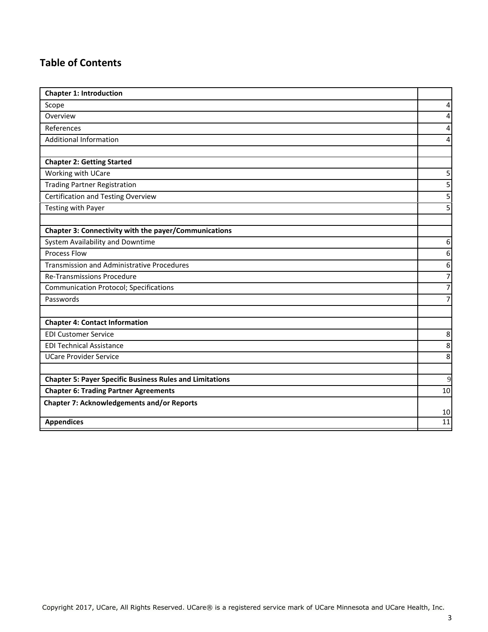## **Table of Contents**

| <b>Chapter 1: Introduction</b>                                  |                                  |  |  |  |
|-----------------------------------------------------------------|----------------------------------|--|--|--|
| Scope                                                           |                                  |  |  |  |
| Overview                                                        |                                  |  |  |  |
| References                                                      |                                  |  |  |  |
| <b>Additional Information</b>                                   |                                  |  |  |  |
|                                                                 |                                  |  |  |  |
| <b>Chapter 2: Getting Started</b>                               |                                  |  |  |  |
| Working with UCare                                              | 5                                |  |  |  |
| <b>Trading Partner Registration</b>                             | 5                                |  |  |  |
| <b>Certification and Testing Overview</b>                       | 5                                |  |  |  |
| Testing with Payer                                              | 5                                |  |  |  |
|                                                                 |                                  |  |  |  |
| Chapter 3: Connectivity with the payer/Communications           |                                  |  |  |  |
| System Availability and Downtime                                |                                  |  |  |  |
| <b>Process Flow</b>                                             | 6                                |  |  |  |
| <b>Transmission and Administrative Procedures</b>               | 6                                |  |  |  |
| <b>Re-Transmissions Procedure</b>                               | $\overline{7}$<br>$\overline{7}$ |  |  |  |
| <b>Communication Protocol; Specifications</b>                   |                                  |  |  |  |
| Passwords                                                       |                                  |  |  |  |
|                                                                 |                                  |  |  |  |
| <b>Chapter 4: Contact Information</b>                           |                                  |  |  |  |
| <b>EDI Customer Service</b>                                     |                                  |  |  |  |
| <b>EDI Technical Assistance</b>                                 |                                  |  |  |  |
| <b>UCare Provider Service</b>                                   | 8                                |  |  |  |
|                                                                 |                                  |  |  |  |
| <b>Chapter 5: Payer Specific Business Rules and Limitations</b> |                                  |  |  |  |
| <b>Chapter 6: Trading Partner Agreements</b>                    |                                  |  |  |  |
| <b>Chapter 7: Acknowledgements and/or Reports</b>               |                                  |  |  |  |
|                                                                 |                                  |  |  |  |
| <b>Appendices</b>                                               |                                  |  |  |  |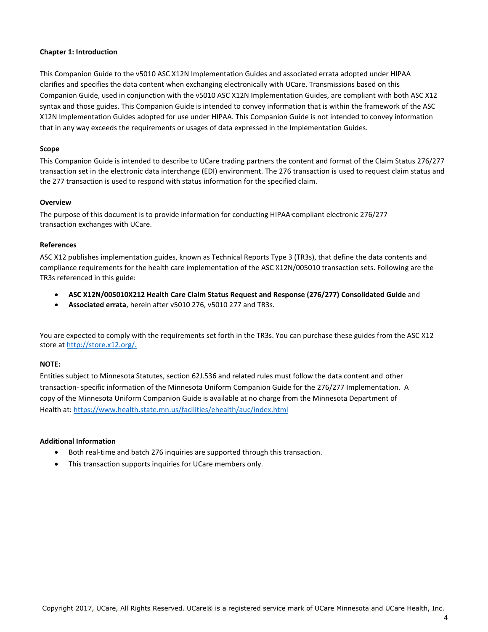#### **Chapter 1: Introduction**

This Companion Guide to the v5010 ASC X12N Implementation Guides and associated errata adopted under HIPAA clarifies and specifies the data content when exchanging electronically with UCare. Transmissions based on this Companion Guide, used in conjunction with the v5010 ASC X12N Implementation Guides, are compliant with both ASC X12 syntax and those guides. This Companion Guide is intended to convey information that is within the framework of the ASC X12N Implementation Guides adopted for use under HIPAA. This Companion Guide is not intended to convey information that in any way exceeds the requirements or usages of data expressed in the Implementation Guides.

#### **Scope**

This Companion Guide is intended to describe to UCare trading partners the content and format of the Claim Status 276/277 transaction set in the electronic data interchange (EDI) environment. The 276 transaction is used to request claim status and the 277 transaction is used to respond with status information for the specified claim.

#### **Overview**

The purpose of this document is to provide information for conducting HIPAA compliant electronic 276/277 transaction exchanges with UCare.

#### **References**

ASC X12 publishes implementation guides, known as Technical Reports Type 3 (TR3s), that define the data contents and compliance requirements for the health care implementation of the ASC X12N/005010 transaction sets. Following are the TR3s referenced in this guide:

- **ASC X12N/005010X212 Health Care Claim Status Request and Response (276/277) Consolidated Guide** and
- **Associated errata**, herein after v5010 276, v5010 277 and TR3s.

You are expected to comply with the requirements set forth in the TR3s. You can purchase these guides from the ASC X12 store a[t http://store.x12.org/.](http://store.x12.org/)

#### **NOTE:**

Entities subject to Minnesota Statutes, section 62J.536 and related rules must follow the data content and other transaction- specific information of the Minnesota Uniform Companion Guide for the 276/277 Implementation. A copy of the Minnesota Uniform Companion Guide is available at no charge from the Minnesota Department of Health at:<https://www.health.state.mn.us/facilities/ehealth/auc/index.html>

#### **Additional Information**

- Both real-time and batch 276 inquiries are supported through this transaction.
- This transaction supports inquiries for UCare members only.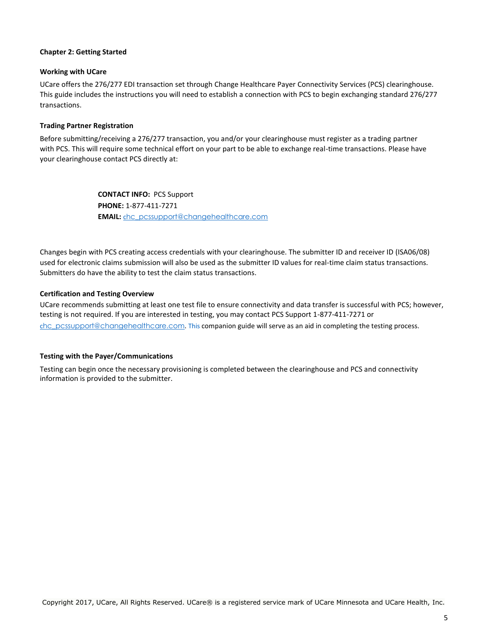#### **Chapter 2: Getting Started**

#### **Working with UCare**

UCare offers the 276/277 EDI transaction set through Change Healthcare Payer Connectivity Services (PCS) clearinghouse. This guide includes the instructions you will need to establish a connection with PCS to begin exchanging standard 276/277 transactions.

#### **Trading Partner Registration**

Before submitting/receiving a 276/277 transaction, you and/or your clearinghouse must register as a trading partner with PCS. This will require some technical effort on your part to be able to exchange real-time transactions. Please have your clearinghouse contact PCS directly at:

> **CONTACT INFO:** PCS Support **PHONE:** 1-877-411-7271 **EMAIL:** [c](mailto:chc_pcssupport@changehealthcare.com)[hc\\_pcssupport@changehealthcare.com](mailto:chc_pcssupport@changehealthcare.com)

Changes begin with PCS creating access credentials with your clearinghouse. The submitter ID and receiver ID (ISA06/08) used for electronic claims submission will also be used as the submitter ID values for real-time claim status transactions. Submitters do have the ability to test the claim status transactions.

#### **Certification and Testing Overview**

UCare recommends submitting at least one test file to ensure connectivity and data transfer is successful with PCS; however, testing is not required. If you are interested in testing, you may contact PCS Support 1-877-411-7271 or c[hc\\_pcssupport@changehealthcare.com](mailto:chc_pcssupport@changehealthcare.com)[.](mailto:chc_pcssupport@changehealthcare.com) This companion guide will serve as an aid in completing the testing process.

#### **Testing with the Payer/Communications**

Testing can begin once the necessary provisioning is completed between the clearinghouse and PCS and connectivity information is provided to the submitter.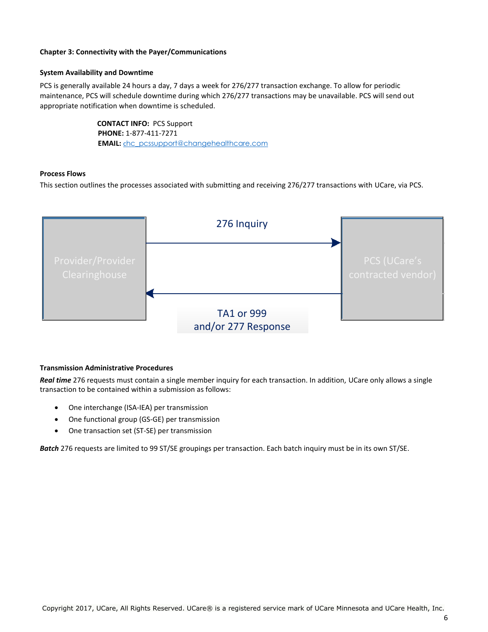#### **Chapter 3: Connectivity with the Payer/Communications**

#### **System Availability and Downtime**

PCS is generally available 24 hours a day, 7 days a week for 276/277 transaction exchange. To allow for periodic maintenance, PCS will schedule downtime during which 276/277 transactions may be unavailable. PCS will send out appropriate notification when downtime is scheduled.

> **CONTACT INFO:** PCS Support **PHONE:** 1-877-411-7271 **EMAIL:** c[hc\\_pcssupport@changehealthcare.com](mailto:chc_pcssupport@changehealthcare.com)

#### **Process Flows**

This section outlines the processes associated with submitting and receiving 276/277 transactions with UCare, via PCS.



#### **Transmission Administrative Procedures**

*Real time* 276 requests must contain a single member inquiry for each transaction. In addition, UCare only allows a single transaction to be contained within a submission as follows:

- One interchange (ISA-IEA) per transmission
- One functional group (GS-GE) per transmission
- One transaction set (ST-SE) per transmission

*Batch* 276 requests are limited to 99 ST/SE groupings per transaction. Each batch inquiry must be in its own ST/SE.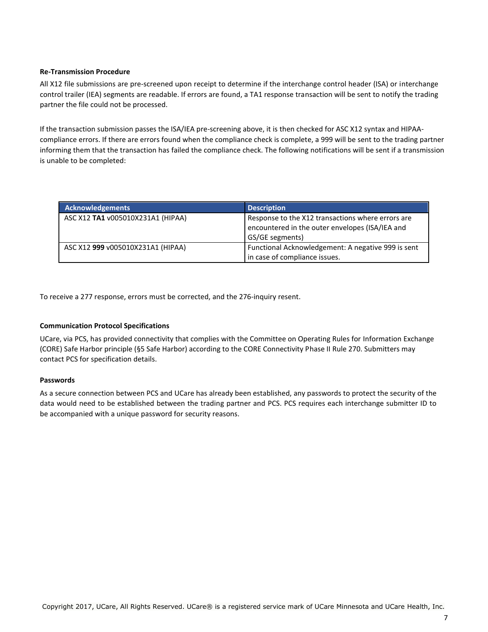#### **Re-Transmission Procedure**

All X12 file submissions are pre-screened upon receipt to determine if the interchange control header (ISA) or interchange control trailer (IEA) segments are readable. If errors are found, a TA1 response transaction will be sent to notify the trading partner the file could not be processed.

If the transaction submission passes the ISA/IEA pre-screening above, it is then checked for ASC X12 syntax and HIPAAcompliance errors. If there are errors found when the compliance check is complete, a 999 will be sent to the trading partner informing them that the transaction has failed the compliance check. The following notifications will be sent if a transmission is unable to be completed:

| <b>Acknowledgements</b>           | <b>Description</b>                                                                                                      |
|-----------------------------------|-------------------------------------------------------------------------------------------------------------------------|
| ASC X12 TA1 v005010X231A1 (HIPAA) | Response to the X12 transactions where errors are<br>encountered in the outer envelopes (ISA/IEA and<br>GS/GE segments) |
| ASC X12 999 v005010X231A1 (HIPAA) | Functional Acknowledgement: A negative 999 is sent<br>in case of compliance issues.                                     |

To receive a 277 response, errors must be corrected, and the 276-inquiry resent.

#### **Communication Protocol Specifications**

UCare, via PCS, has provided connectivity that complies with the Committee on Operating Rules for Information Exchange (CORE) Safe Harbor principle (§5 Safe Harbor) according to the CORE Connectivity Phase II Rule 270. Submitters may contact PCS for specification details.

#### **Passwords**

As a secure connection between PCS and UCare has already been established, any passwords to protect the security of the data would need to be established between the trading partner and PCS. PCS requires each interchange submitter ID to be accompanied with a unique password for security reasons.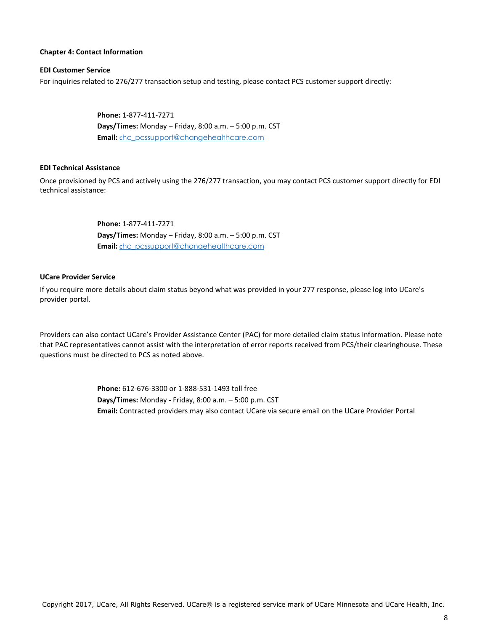#### **Chapter 4: Contact Information**

#### **EDI Customer Service**

For inquiries related to 276/277 transaction setup and testing, please contact PCS customer support directly:

**Phone:** 1-877-411-7271 **Days/Times:** Monday – Friday, 8:00 a.m. – 5:00 p.m. CST **Email:** c[hc\\_pcssupport@changehealthcare.com](mailto:chc_pcssupport@changehealthcare.com)

#### **EDI Technical Assistance**

Once provisioned by PCS and actively using the 276/277 transaction, you may contact PCS customer support directly for EDI technical assistance:

> **Phone:** 1-877-411-7271 **Days/Times:** Monday – Friday, 8:00 a.m. – 5:00 p.m. CST **Email:** c[hc\\_pcssupport@changehealthcare.com](mailto:chc_pcssupport@changehealthcare.com)

#### **UCare Provider Service**

If you require more details about claim status beyond what was provided in your 277 response, please log into UCare's provider portal.

Providers can also contact UCare's Provider Assistance Center (PAC) for more detailed claim status information. Please note that PAC representatives cannot assist with the interpretation of error reports received from PCS/their clearinghouse. These questions must be directed to PCS as noted above.

> **Phone:** 612-676-3300 or 1-888-531-1493 toll free **Days/Times:** Monday - Friday, 8:00 a.m. – 5:00 p.m. CST **Email:** Contracted providers may also contact UCare via secure email on the UCare Provider Portal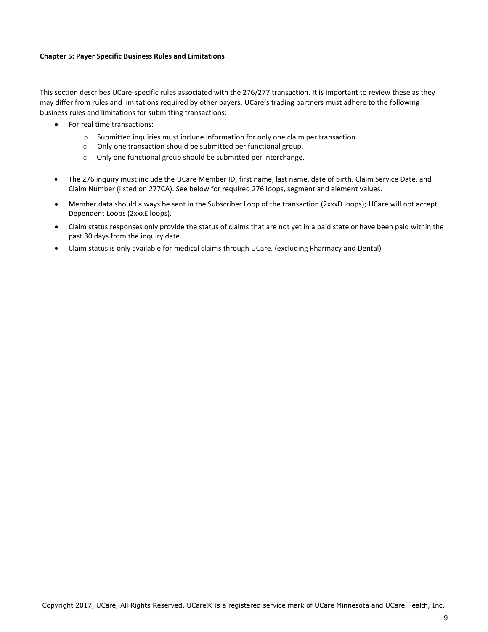#### **Chapter 5: Payer Specific Business Rules and Limitations**

This section describes UCare-specific rules associated with the 276/277 transaction. It is important to review these as they may differ from rules and limitations required by other payers. UCare's trading partners must adhere to the following business rules and limitations for submitting transactions:

- For real time transactions:
	- $\circ$  Submitted inquiries must include information for only one claim per transaction.
	- o Only one transaction should be submitted per functional group.
	- o Only one functional group should be submitted per interchange.
- The 276 inquiry must include the UCare Member ID, first name, last name, date of birth, Claim Service Date, and Claim Number (listed on 277CA). See below for required 276 loops, segment and element values.
- Member data should always be sent in the Subscriber Loop of the transaction (2xxxD loops); UCare will not accept Dependent Loops (2xxxE loops).
- Claim status responses only provide the status of claims that are not yet in a paid state or have been paid within the past 30 days from the inquiry date.
- Claim status is only available for medical claims through UCare. (excluding Pharmacy and Dental)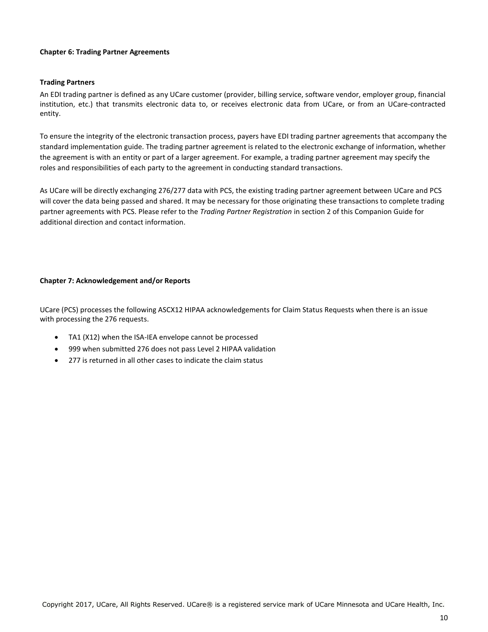#### **Chapter 6: Trading Partner Agreements**

#### **Trading Partners**

An EDI trading partner is defined as any UCare customer (provider, billing service, software vendor, employer group, financial institution, etc.) that transmits electronic data to, or receives electronic data from UCare, or from an UCare-contracted entity.

To ensure the integrity of the electronic transaction process, payers have EDI trading partner agreements that accompany the standard implementation guide. The trading partner agreement is related to the electronic exchange of information, whether the agreement is with an entity or part of a larger agreement. For example, a trading partner agreement may specify the roles and responsibilities of each party to the agreement in conducting standard transactions.

As UCare will be directly exchanging 276/277 data with PCS, the existing trading partner agreement between UCare and PCS will cover the data being passed and shared. It may be necessary for those originating these transactions to complete trading partner agreements with PCS. Please refer to the *Trading Partner Registration* in section 2 of this Companion Guide for additional direction and contact information.

#### **Chapter 7: Acknowledgement and/or Reports**

UCare (PCS) processes the following ASCX12 HIPAA acknowledgements for Claim Status Requests when there is an issue with processing the 276 requests.

- TA1 (X12) when the ISA-IEA envelope cannot be processed
- 999 when submitted 276 does not pass Level 2 HIPAA validation
- 277 is returned in all other cases to indicate the claim status